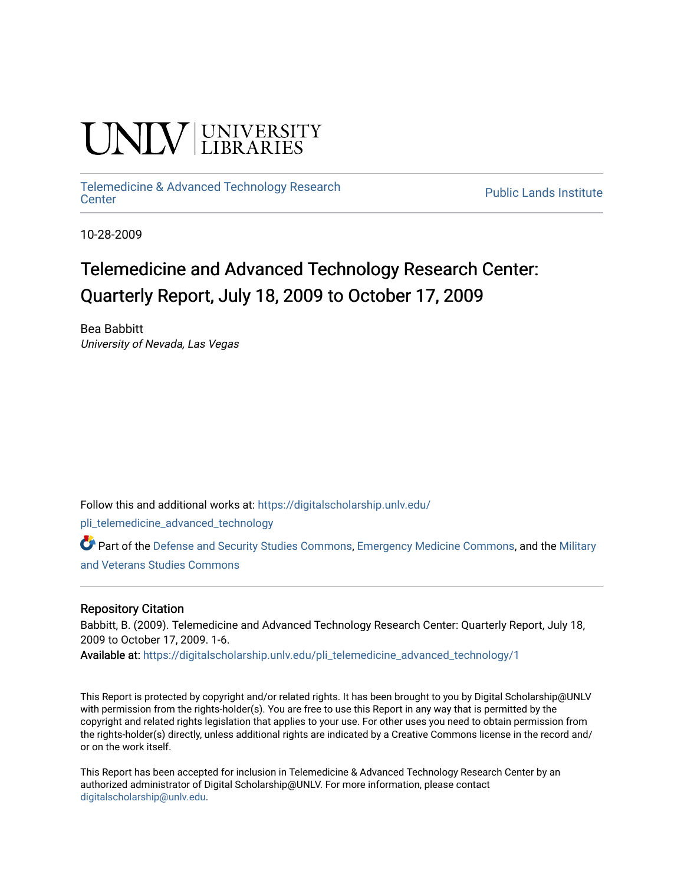# **INIVERSITY**

## [Telemedicine & Advanced Technology Research](https://digitalscholarship.unlv.edu/pli_telemedicine_advanced_technology)

**Public Lands Institute** 

10-28-2009

### Telemedicine and Advanced Technology Research Center: Quarterly Report, July 18, 2009 to October 17, 2009

Bea Babbitt University of Nevada, Las Vegas

Follow this and additional works at: [https://digitalscholarship.unlv.edu/](https://digitalscholarship.unlv.edu/pli_telemedicine_advanced_technology?utm_source=digitalscholarship.unlv.edu%2Fpli_telemedicine_advanced_technology%2F1&utm_medium=PDF&utm_campaign=PDFCoverPages)

[pli\\_telemedicine\\_advanced\\_technology](https://digitalscholarship.unlv.edu/pli_telemedicine_advanced_technology?utm_source=digitalscholarship.unlv.edu%2Fpli_telemedicine_advanced_technology%2F1&utm_medium=PDF&utm_campaign=PDFCoverPages) 

Part of the [Defense and Security Studies Commons](http://network.bepress.com/hgg/discipline/394?utm_source=digitalscholarship.unlv.edu%2Fpli_telemedicine_advanced_technology%2F1&utm_medium=PDF&utm_campaign=PDFCoverPages), [Emergency Medicine Commons,](http://network.bepress.com/hgg/discipline/685?utm_source=digitalscholarship.unlv.edu%2Fpli_telemedicine_advanced_technology%2F1&utm_medium=PDF&utm_campaign=PDFCoverPages) and the [Military](http://network.bepress.com/hgg/discipline/396?utm_source=digitalscholarship.unlv.edu%2Fpli_telemedicine_advanced_technology%2F1&utm_medium=PDF&utm_campaign=PDFCoverPages)  [and Veterans Studies Commons](http://network.bepress.com/hgg/discipline/396?utm_source=digitalscholarship.unlv.edu%2Fpli_telemedicine_advanced_technology%2F1&utm_medium=PDF&utm_campaign=PDFCoverPages) 

#### Repository Citation

Babbitt, B. (2009). Telemedicine and Advanced Technology Research Center: Quarterly Report, July 18, 2009 to October 17, 2009. 1-6.

Available at: [https://digitalscholarship.unlv.edu/pli\\_telemedicine\\_advanced\\_technology/1](https://digitalscholarship.unlv.edu/pli_telemedicine_advanced_technology/1) 

This Report is protected by copyright and/or related rights. It has been brought to you by Digital Scholarship@UNLV with permission from the rights-holder(s). You are free to use this Report in any way that is permitted by the copyright and related rights legislation that applies to your use. For other uses you need to obtain permission from the rights-holder(s) directly, unless additional rights are indicated by a Creative Commons license in the record and/ or on the work itself.

This Report has been accepted for inclusion in Telemedicine & Advanced Technology Research Center by an authorized administrator of Digital Scholarship@UNLV. For more information, please contact [digitalscholarship@unlv.edu](mailto:digitalscholarship@unlv.edu).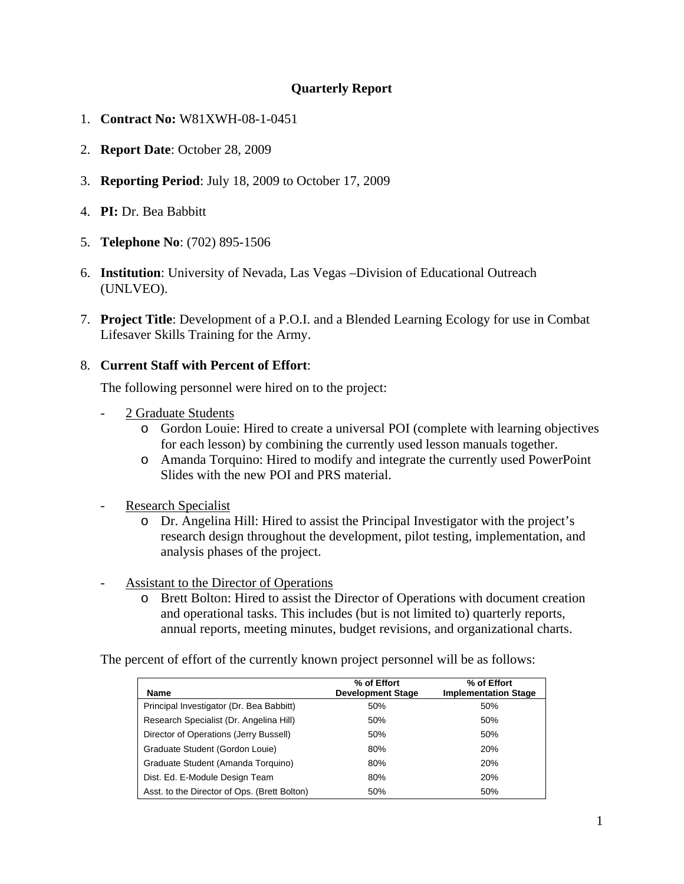#### **Quarterly Report**

- 1. **Contract No:** W81XWH-08-1-0451
- 2. **Report Date**: October 28, 2009
- 3. **Reporting Period**: July 18, 2009 to October 17, 2009
- 4. **PI:** Dr. Bea Babbitt
- 5. **Telephone No**: (702) 895-1506
- 6. **Institution**: University of Nevada, Las Vegas –Division of Educational Outreach (UNLVEO).
- 7. **Project Title**: Development of a P.O.I. and a Blended Learning Ecology for use in Combat Lifesaver Skills Training for the Army.

#### 8. **Current Staff with Percent of Effort**:

The following personnel were hired on to the project:

- 2 Graduate Students
	- o Gordon Louie: Hired to create a universal POI (complete with learning objectives for each lesson) by combining the currently used lesson manuals together.
	- o Amanda Torquino: Hired to modify and integrate the currently used PowerPoint Slides with the new POI and PRS material.
- Research Specialist
	- o Dr. Angelina Hill: Hired to assist the Principal Investigator with the project's research design throughout the development, pilot testing, implementation, and analysis phases of the project.
- Assistant to the Director of Operations
	- o Brett Bolton: Hired to assist the Director of Operations with document creation and operational tasks. This includes (but is not limited to) quarterly reports, annual reports, meeting minutes, budget revisions, and organizational charts.

The percent of effort of the currently known project personnel will be as follows:

| <b>Name</b>                                  | % of Effort<br><b>Development Stage</b> | % of Effort<br><b>Implementation Stage</b> |
|----------------------------------------------|-----------------------------------------|--------------------------------------------|
| Principal Investigator (Dr. Bea Babbitt)     | 50%                                     | 50%                                        |
| Research Specialist (Dr. Angelina Hill)      | 50%                                     | 50%                                        |
| Director of Operations (Jerry Bussell)       | 50%                                     | 50%                                        |
| Graduate Student (Gordon Louie)              | 80%                                     | 20%                                        |
| Graduate Student (Amanda Torquino)           | 80%                                     | 20%                                        |
| Dist. Ed. E-Module Design Team               | 80%                                     | 20%                                        |
| Asst. to the Director of Ops. (Brett Bolton) | 50%                                     | 50%                                        |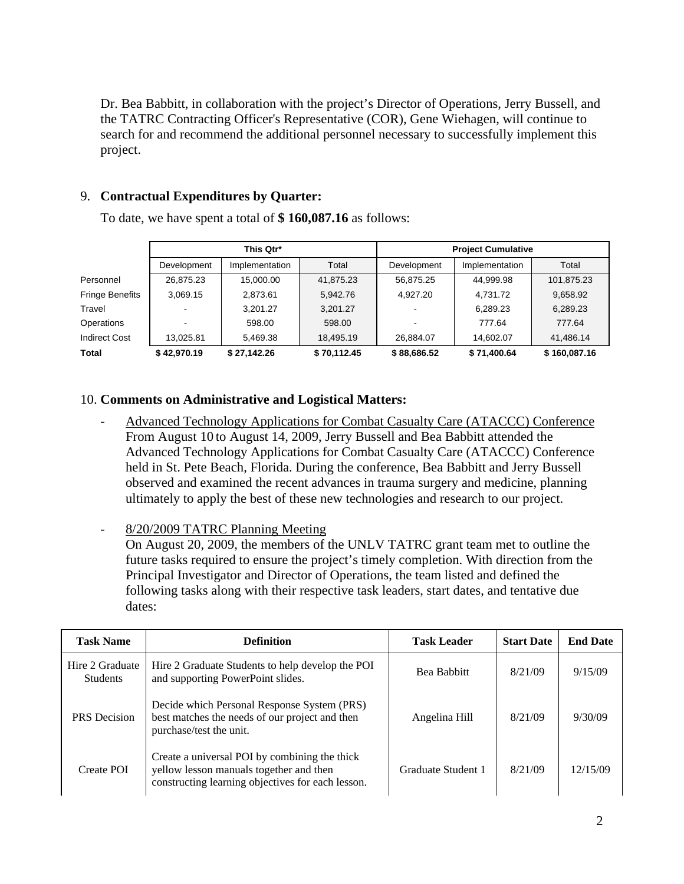Dr. Bea Babbitt, in collaboration with the project's Director of Operations, Jerry Bussell, and the TATRC Contracting Officer's Representative (COR), Gene Wiehagen, will continue to search for and recommend the additional personnel necessary to successfully implement this project.

#### 9. **Contractual Expenditures by Quarter:**

To date, we have spent a total of **\$ 160,087.16** as follows:

|                        | This Qtr*   |                | <b>Project Cumulative</b> |             |                |              |
|------------------------|-------------|----------------|---------------------------|-------------|----------------|--------------|
|                        | Development | Implementation | Total                     | Development | Implementation | Total        |
| Personnel              | 26.875.23   | 15.000.00      | 41,875.23                 | 56.875.25   | 44,999.98      | 101,875.23   |
| <b>Fringe Benefits</b> | 3.069.15    | 2,873.61       | 5.942.76                  | 4.927.20    | 4,731.72       | 9,658.92     |
| Travel                 |             | 3.201.27       | 3,201.27                  |             | 6,289.23       | 6,289.23     |
| Operations             |             | 598.00         | 598.00                    |             | 777.64         | 777.64       |
| <b>Indirect Cost</b>   | 13.025.81   | 5.469.38       | 18.495.19                 | 26.884.07   | 14.602.07      | 41.486.14    |
| <b>Total</b>           | \$42,970.19 | \$27.142.26    | \$70,112.45               | \$88,686.52 | \$71,400.64    | \$160,087.16 |

#### 10. **Comments on Administrative and Logistical Matters:**

- Advanced Technology Applications for Combat Casualty Care (ATACCC) Conference From August 10 to August 14, 2009, Jerry Bussell and Bea Babbitt attended the Advanced Technology Applications for Combat Casualty Care (ATACCC) Conference held in St. Pete Beach, Florida. During the conference, Bea Babbitt and Jerry Bussell observed and examined the recent advances in trauma surgery and medicine, planning ultimately to apply the best of these new technologies and research to our project.
- 8/20/2009 TATRC Planning Meeting

On August 20, 2009, the members of the UNLV TATRC grant team met to outline the future tasks required to ensure the project's timely completion. With direction from the Principal Investigator and Director of Operations, the team listed and defined the following tasks along with their respective task leaders, start dates, and tentative due dates:

| <b>Task Name</b>                   | <b>Definition</b>                                                                                                                             | <b>Task Leader</b> | <b>Start Date</b> | <b>End Date</b> |
|------------------------------------|-----------------------------------------------------------------------------------------------------------------------------------------------|--------------------|-------------------|-----------------|
| Hire 2 Graduate<br><b>Students</b> | Hire 2 Graduate Students to help develop the POI<br>and supporting PowerPoint slides.                                                         | Bea Babbitt        | 8/21/09           | 9/15/09         |
| <b>PRS</b> Decision                | Decide which Personal Response System (PRS)<br>best matches the needs of our project and then<br>purchase/test the unit.                      | Angelina Hill      | 8/21/09           | 9/30/09         |
| Create POI                         | Create a universal POI by combining the thick<br>yellow lesson manuals together and then<br>constructing learning objectives for each lesson. | Graduate Student 1 | 8/21/09           | 12/15/09        |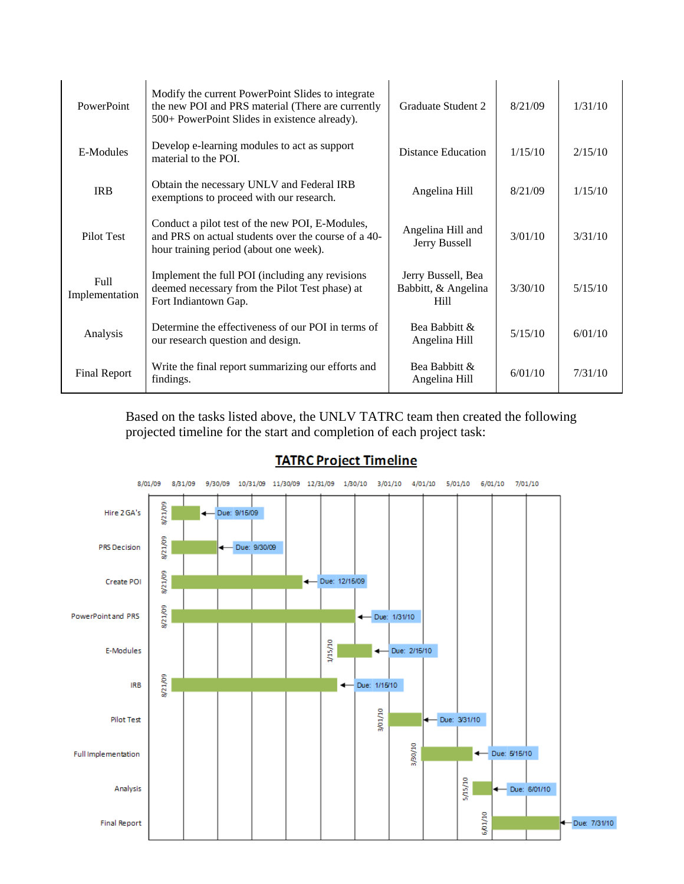| PowerPoint                    | Modify the current PowerPoint Slides to integrate<br>the new POI and PRS material (There are currently<br>500+ PowerPoint Slides in existence already). | Graduate Student 2                                       | 8/21/09 | 1/31/10 |
|-------------------------------|---------------------------------------------------------------------------------------------------------------------------------------------------------|----------------------------------------------------------|---------|---------|
| E-Modules                     | Develop e-learning modules to act as support<br>material to the POI.                                                                                    | <b>Distance Education</b>                                | 1/15/10 | 2/15/10 |
| <b>IRB</b>                    | Obtain the necessary UNLV and Federal IRB<br>exemptions to proceed with our research.                                                                   | Angelina Hill                                            | 8/21/09 | 1/15/10 |
| Pilot Test                    | Conduct a pilot test of the new POI, E-Modules,<br>and PRS on actual students over the course of a 40-<br>hour training period (about one week).        | Angelina Hill and<br>Jerry Bussell                       | 3/01/10 | 3/31/10 |
| <b>Full</b><br>Implementation | Implement the full POI (including any revisions<br>deemed necessary from the Pilot Test phase) at<br>Fort Indiantown Gap.                               | Jerry Bussell, Bea<br>Babbitt, & Angelina<br><b>Hill</b> | 3/30/10 | 5/15/10 |
| Analysis                      | Determine the effectiveness of our POI in terms of<br>our research question and design.                                                                 | Bea Babbitt &<br>Angelina Hill                           | 5/15/10 | 6/01/10 |
| Final Report                  | Write the final report summarizing our efforts and<br>findings.                                                                                         | Bea Babbitt &<br>Angelina Hill                           | 6/01/10 | 7/31/10 |

Based on the tasks listed above, the UNLV TATRC team then created the following projected timeline for the start and completion of each project task:



#### **TATRC Project Timeline**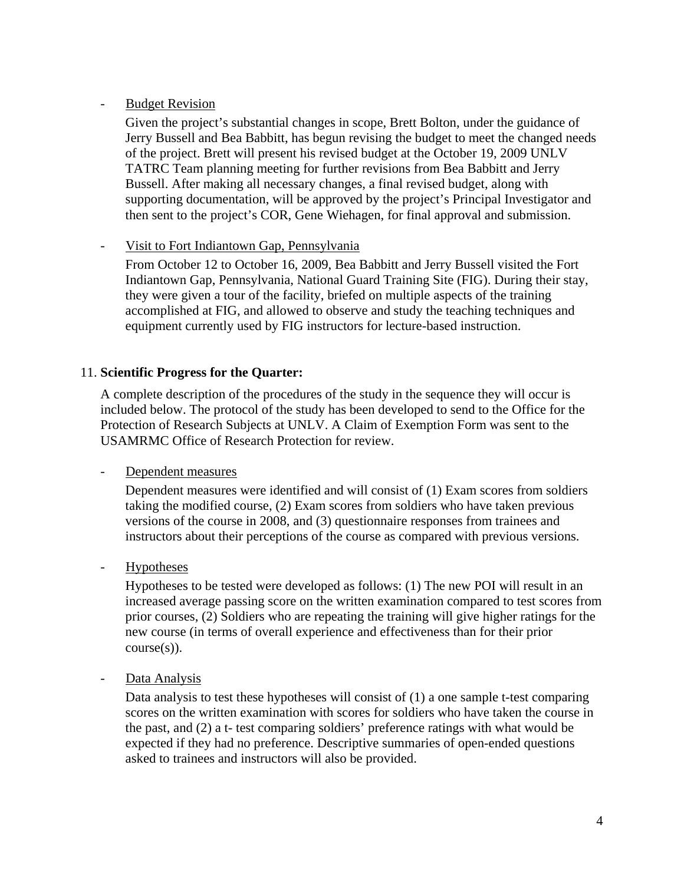#### **Budget Revision**

Given the project's substantial changes in scope, Brett Bolton, under the guidance of Jerry Bussell and Bea Babbitt, has begun revising the budget to meet the changed needs of the project. Brett will present his revised budget at the October 19, 2009 UNLV TATRC Team planning meeting for further revisions from Bea Babbitt and Jerry Bussell. After making all necessary changes, a final revised budget, along with supporting documentation, will be approved by the project's Principal Investigator and then sent to the project's COR, Gene Wiehagen, for final approval and submission.

#### Visit to Fort Indiantown Gap, Pennsylvania

From October 12 to October 16, 2009, Bea Babbitt and Jerry Bussell visited the Fort Indiantown Gap, Pennsylvania, National Guard Training Site (FIG). During their stay, they were given a tour of the facility, briefed on multiple aspects of the training accomplished at FIG, and allowed to observe and study the teaching techniques and equipment currently used by FIG instructors for lecture-based instruction.

#### 11. **Scientific Progress for the Quarter:**

A complete description of the procedures of the study in the sequence they will occur is included below. The protocol of the study has been developed to send to the Office for the Protection of Research Subjects at UNLV. A Claim of Exemption Form was sent to the USAMRMC Office of Research Protection for review.

#### Dependent measures

Dependent measures were identified and will consist of (1) Exam scores from soldiers taking the modified course, (2) Exam scores from soldiers who have taken previous versions of the course in 2008, and (3) questionnaire responses from trainees and instructors about their perceptions of the course as compared with previous versions.

#### - Hypotheses

Hypotheses to be tested were developed as follows: (1) The new POI will result in an increased average passing score on the written examination compared to test scores from prior courses, (2) Soldiers who are repeating the training will give higher ratings for the new course (in terms of overall experience and effectiveness than for their prior course(s)).

#### - Data Analysis

Data analysis to test these hypotheses will consist of (1) a one sample t-test comparing scores on the written examination with scores for soldiers who have taken the course in the past, and (2) a t- test comparing soldiers' preference ratings with what would be expected if they had no preference. Descriptive summaries of open-ended questions asked to trainees and instructors will also be provided.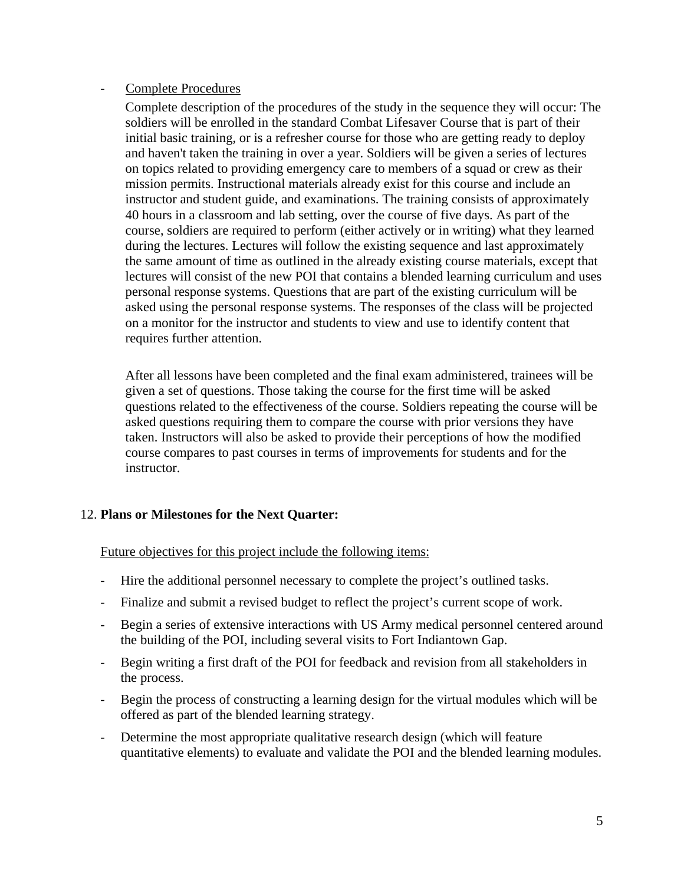#### - Complete Procedures

Complete description of the procedures of the study in the sequence they will occur: The soldiers will be enrolled in the standard Combat Lifesaver Course that is part of their initial basic training, or is a refresher course for those who are getting ready to deploy and haven't taken the training in over a year. Soldiers will be given a series of lectures on topics related to providing emergency care to members of a squad or crew as their mission permits. Instructional materials already exist for this course and include an instructor and student guide, and examinations. The training consists of approximately 40 hours in a classroom and lab setting, over the course of five days. As part of the course, soldiers are required to perform (either actively or in writing) what they learned during the lectures. Lectures will follow the existing sequence and last approximately the same amount of time as outlined in the already existing course materials, except that lectures will consist of the new POI that contains a blended learning curriculum and uses personal response systems. Questions that are part of the existing curriculum will be asked using the personal response systems. The responses of the class will be projected on a monitor for the instructor and students to view and use to identify content that requires further attention.

After all lessons have been completed and the final exam administered, trainees will be given a set of questions. Those taking the course for the first time will be asked questions related to the effectiveness of the course. Soldiers repeating the course will be asked questions requiring them to compare the course with prior versions they have taken. Instructors will also be asked to provide their perceptions of how the modified course compares to past courses in terms of improvements for students and for the instructor.

#### 12. **Plans or Milestones for the Next Quarter:**

Future objectives for this project include the following items:

- Hire the additional personnel necessary to complete the project's outlined tasks.
- Finalize and submit a revised budget to reflect the project's current scope of work.
- Begin a series of extensive interactions with US Army medical personnel centered around the building of the POI, including several visits to Fort Indiantown Gap.
- Begin writing a first draft of the POI for feedback and revision from all stakeholders in the process.
- Begin the process of constructing a learning design for the virtual modules which will be offered as part of the blended learning strategy.
- Determine the most appropriate qualitative research design (which will feature quantitative elements) to evaluate and validate the POI and the blended learning modules.